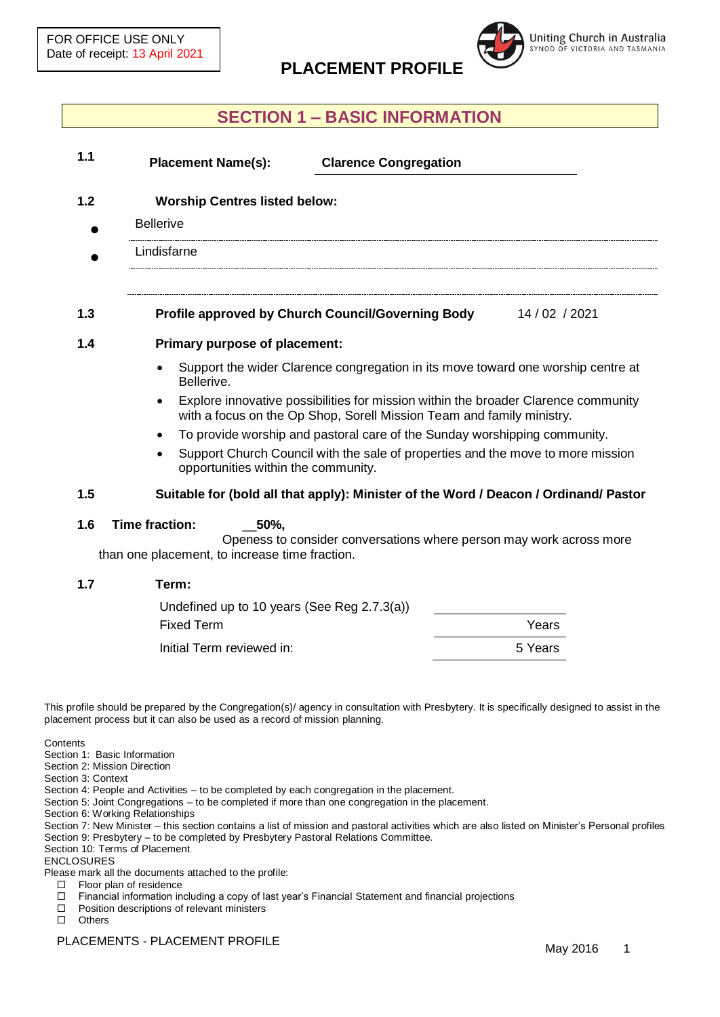

## **SECTION 1 – BASIC INFORMATION**

| <b>Placement Name(s):</b><br><b>Clarence Congregation</b>                                                                                                   |  |  |
|-------------------------------------------------------------------------------------------------------------------------------------------------------------|--|--|
| <b>Worship Centres listed below:</b>                                                                                                                        |  |  |
| <b>Bellerive</b>                                                                                                                                            |  |  |
| Lindisfarne                                                                                                                                                 |  |  |
| Profile approved by Church Council/Governing Body<br>14 / 02 / 2021                                                                                         |  |  |
| <b>Primary purpose of placement:</b>                                                                                                                        |  |  |
| Support the wider Clarence congregation in its move toward one worship centre at<br>Bellerive.                                                              |  |  |
| Explore innovative possibilities for mission within the broader Clarence community<br>with a focus on the Op Shop, Sorell Mission Team and family ministry. |  |  |
| To provide worship and pastoral care of the Sunday worshipping community.                                                                                   |  |  |
| Support Church Council with the sale of properties and the move to more mission<br>opportunities within the community.                                      |  |  |
| Suitable for (bold all that apply): Minister of the Word / Deacon / Ordinand/ Pastor                                                                        |  |  |
| Time fraction:<br>50%,<br>Openess to consider conversations where person may work across more                                                               |  |  |

than one placement, to increase time fraction.

| 1.7 | Term:                                       |       |
|-----|---------------------------------------------|-------|
|     | Undefined up to 10 years (See Reg 2.7.3(a)) |       |
|     | <b>Fixed Term</b>                           | Years |
|     |                                             |       |

Initial Term reviewed in: 1.5 Years

This profile should be prepared by the Congregation(s)/ agency in consultation with Presbytery. It is specifically designed to assist in the placement process but it can also be used as a record of mission planning.

**Contents** 

- Section 1: Basic Information
- Section 2: Mission Direction

Section 3: Context

Section 4: People and Activities – to be completed by each congregation in the placement.

Section 5: Joint Congregations – to be completed if more than one congregation in the placement.

Section 6: Working Relationships

Section 7: New Minister – this section contains a list of mission and pastoral activities which are also listed on Minister's Personal profiles Section 9: Presbytery – to be completed by Presbytery Pastoral Relations Committee.

Section 10: Terms of Placement

ENCLOSURES

Please mark all the documents attached to the profile:

- Floor plan of residence
- Financial information including a copy of last year's Financial Statement and financial projections
- $\Box$  Position descriptions of relevant ministers
- Others

PLACEMENTS - PLACEMENT PROFILE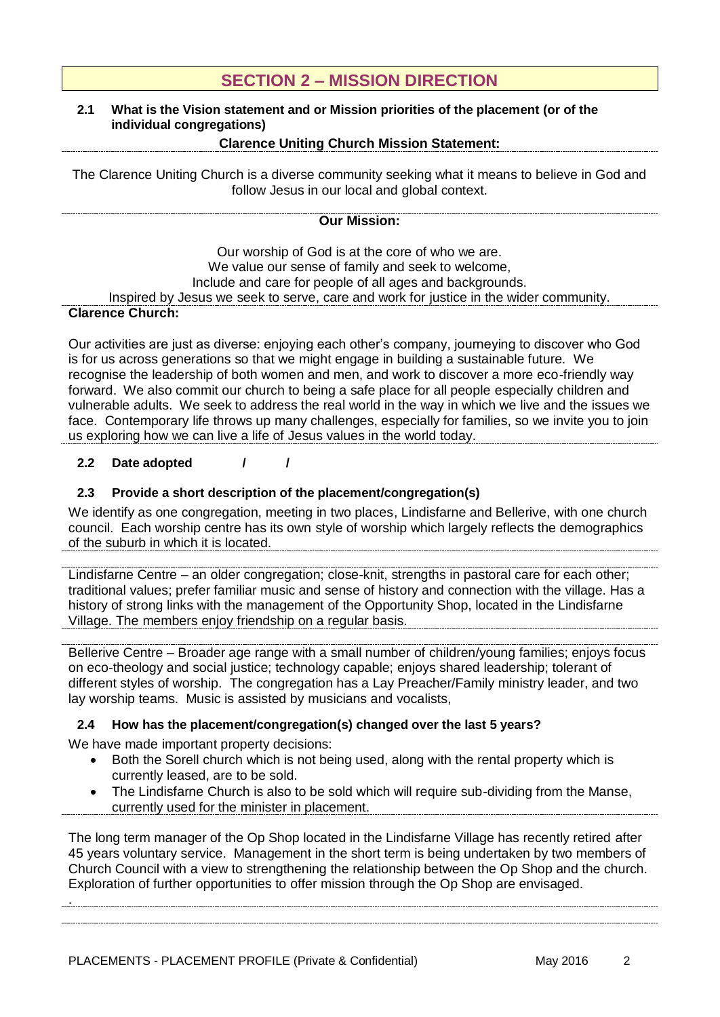## **SECTION 2 – MISSION DIRECTION**

### **2.1 What is the Vision statement and or Mission priorities of the placement (or of the individual congregations)**

### **Clarence Uniting Church Mission Statement:**

The Clarence Uniting Church is a diverse community seeking what it means to believe in God and follow Jesus in our local and global context.

## **Our Mission:**

Our worship of God is at the core of who we are. We value our sense of family and seek to welcome, Include and care for people of all ages and backgrounds. Inspired by Jesus we seek to serve, care and work for justice in the wider community. **Clarence Church:**

Our activities are just as diverse: enjoying each other's company, journeying to discover who God is for us across generations so that we might engage in building a sustainable future. We recognise the leadership of both women and men, and work to discover a more eco-friendly way forward. We also commit our church to being a safe place for all people especially children and vulnerable adults. We seek to address the real world in the way in which we live and the issues we face. Contemporary life throws up many challenges, especially for families, so we invite you to join us exploring how we can live a life of Jesus values in the world today.

#### **2.2 Date adopted / /**

#### **2.3 Provide a short description of the placement/congregation(s)**

We identify as one congregation, meeting in two places, Lindisfarne and Bellerive, with one church council. Each worship centre has its own style of worship which largely reflects the demographics of the suburb in which it is located.

Lindisfarne Centre – an older congregation; close-knit, strengths in pastoral care for each other; traditional values; prefer familiar music and sense of history and connection with the village. Has a history of strong links with the management of the Opportunity Shop, located in the Lindisfarne Village. The members enjoy friendship on a regular basis.

Bellerive Centre – Broader age range with a small number of children/young families; enjoys focus on eco-theology and social justice; technology capable; enjoys shared leadership; tolerant of different styles of worship. The congregation has a Lay Preacher/Family ministry leader, and two lay worship teams. Music is assisted by musicians and vocalists,

#### **2.4 How has the placement/congregation(s) changed over the last 5 years?**

We have made important property decisions:

.

- Both the Sorell church which is not being used, along with the rental property which is currently leased, are to be sold.
- The Lindisfarne Church is also to be sold which will require sub-dividing from the Manse, currently used for the minister in placement.

The long term manager of the Op Shop located in the Lindisfarne Village has recently retired after 45 years voluntary service. Management in the short term is being undertaken by two members of Church Council with a view to strengthening the relationship between the Op Shop and the church. Exploration of further opportunities to offer mission through the Op Shop are envisaged.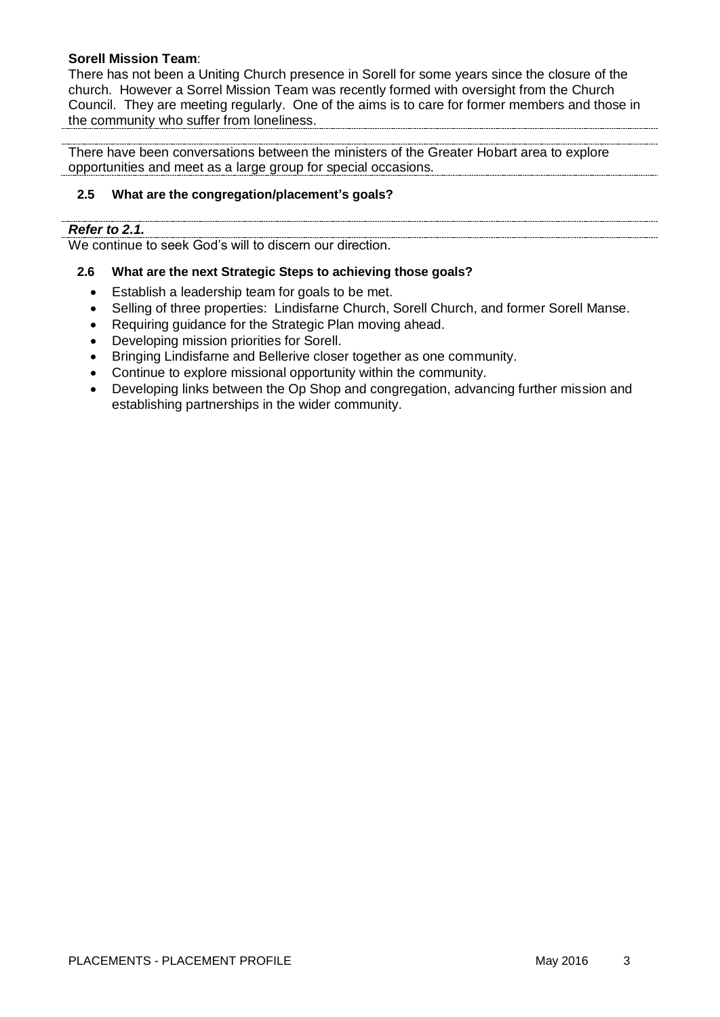#### **Sorell Mission Team**:

There has not been a Uniting Church presence in Sorell for some years since the closure of the church. However a Sorrel Mission Team was recently formed with oversight from the Church Council. They are meeting regularly. One of the aims is to care for former members and those in the community who suffer from loneliness.

There have been conversations between the ministers of the Greater Hobart area to explore opportunities and meet as a large group for special occasions.

#### **2.5 What are the congregation/placement's goals?**

#### *Refer to 2.1.*

We continue to seek God's will to discern our direction.

#### **2.6 What are the next Strategic Steps to achieving those goals?**

- Establish a leadership team for goals to be met.
- Selling of three properties: Lindisfarne Church, Sorell Church, and former Sorell Manse.

- Requiring guidance for the Strategic Plan moving ahead.
- Developing mission priorities for Sorell.
- Bringing Lindisfarne and Bellerive closer together as one community.
- Continue to explore missional opportunity within the community.
- Developing links between the Op Shop and congregation, advancing further mission and establishing partnerships in the wider community.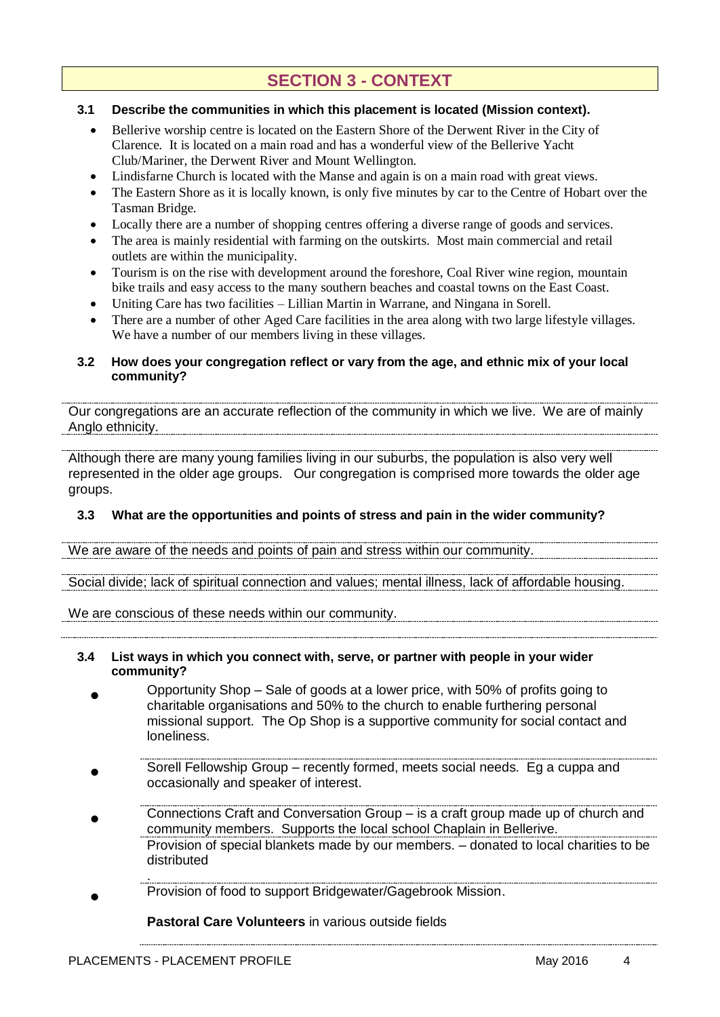# **SECTION 3 - CONTEXT**

#### **3.1 Describe the communities in which this placement is located (Mission context).**

- Bellerive worship centre is located on the Eastern Shore of the Derwent River in the City of Clarence. It is located on a main road and has a wonderful view of the Bellerive Yacht Club/Mariner, the Derwent River and Mount Wellington.
- Lindisfarne Church is located with the Manse and again is on a main road with great views.
- The Eastern Shore as it is locally known, is only five minutes by car to the Centre of Hobart over the Tasman Bridge.
- Locally there are a number of shopping centres offering a diverse range of goods and services.
- The area is mainly residential with farming on the outskirts. Most main commercial and retail outlets are within the municipality.
- Tourism is on the rise with development around the foreshore, Coal River wine region, mountain bike trails and easy access to the many southern beaches and coastal towns on the East Coast.
- Uniting Care has two facilities Lillian Martin in Warrane, and Ningana in Sorell.
- There are a number of other Aged Care facilities in the area along with two large lifestyle villages. We have a number of our members living in these villages.

#### **3.2 How does your congregation reflect or vary from the age, and ethnic mix of your local community?**

Our congregations are an accurate reflection of the community in which we live. We are of mainly Anglo ethnicity.

Although there are many young families living in our suburbs, the population is also very well represented in the older age groups. Our congregation is comprised more towards the older age groups.

#### **3.3 What are the opportunities and points of stress and pain in the wider community?**

We are aware of the needs and points of pain and stress within our community.

Social divide; lack of spiritual connection and values; mental illness, lack of affordable housing.

We are conscious of these needs within our community.

#### **3.4 List ways in which you connect with, serve, or partner with people in your wider community?**

- $\bullet$ Opportunity Shop – Sale of goods at a lower price, with 50% of profits going to charitable organisations and 50% to the church to enable furthering personal missional support. The Op Shop is a supportive community for social contact and loneliness.
- $\bullet$ Sorell Fellowship Group – recently formed, meets social needs. Eg a cuppa and occasionally and speaker of interest.
- $\bullet$ Connections Craft and Conversation Group – is a craft group made up of church and community members. Supports the local school Chaplain in Bellerive. Provision of special blankets made by our members. – donated to local charities to be distributed
- .  $\bullet$ Provision of food to support Bridgewater/Gagebrook Mission.

**Pastoral Care Volunteers** in various outside fields